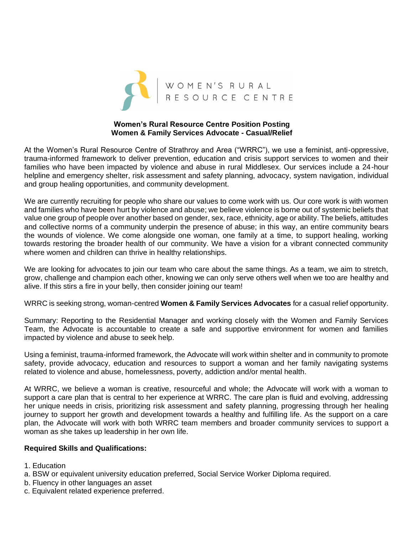

## **Women's Rural Resource Centre Position Posting Women & Family Services Advocate - Casual/Relief**

At the Women's Rural Resource Centre of Strathroy and Area ("WRRC"), we use a feminist, anti-oppressive, trauma-informed framework to deliver prevention, education and crisis support services to women and their families who have been impacted by violence and abuse in rural Middlesex. Our services include a 24-hour helpline and emergency shelter, risk assessment and safety planning, advocacy, system navigation, individual and group healing opportunities, and community development.

We are currently recruiting for people who share our values to come work with us. Our core work is with women and families who have been hurt by violence and abuse; we believe violence is borne out of systemic beliefs that value one group of people over another based on gender, sex, race, ethnicity, age or ability. The beliefs, attitudes and collective norms of a community underpin the presence of abuse; in this way, an entire community bears the wounds of violence. We come alongside one woman, one family at a time, to support healing, working towards restoring the broader health of our community. We have a vision for a vibrant connected community where women and children can thrive in healthy relationships.

We are looking for advocates to join our team who care about the same things. As a team, we aim to stretch, grow, challenge and champion each other, knowing we can only serve others well when we too are healthy and alive. If this stirs a fire in your belly, then consider joining our team!

WRRC is seeking strong, woman-centred **Women & Family Services Advocates** for a casual relief opportunity.

Summary: Reporting to the Residential Manager and working closely with the Women and Family Services Team, the Advocate is accountable to create a safe and supportive environment for women and families impacted by violence and abuse to seek help.

Using a feminist, trauma-informed framework, the Advocate will work within shelter and in community to promote safety, provide advocacy, education and resources to support a woman and her family navigating systems related to violence and abuse, homelessness, poverty, addiction and/or mental health.

At WRRC, we believe a woman is creative, resourceful and whole; the Advocate will work with a woman to support a care plan that is central to her experience at WRRC. The care plan is fluid and evolving, addressing her unique needs in crisis, prioritizing risk assessment and safety planning, progressing through her healing journey to support her growth and development towards a healthy and fulfilling life. As the support on a care plan, the Advocate will work with both WRRC team members and broader community services to support a woman as she takes up leadership in her own life.

# **Required Skills and Qualifications:**

- 1. Education
- a. BSW or equivalent university education preferred, Social Service Worker Diploma required.
- b. Fluency in other languages an asset
- c. Equivalent related experience preferred.